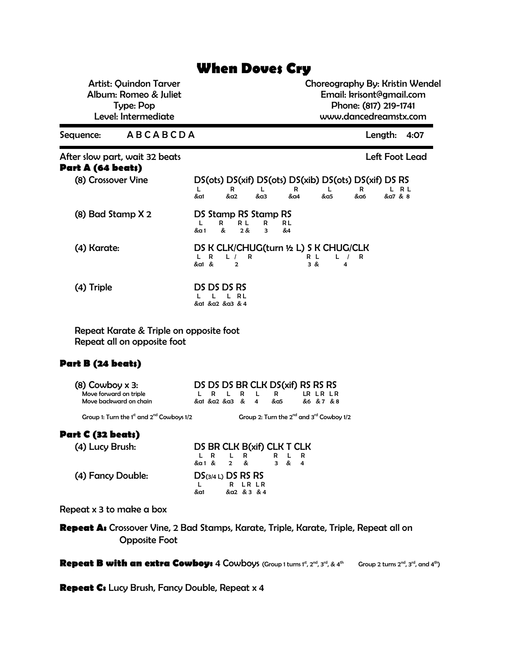## **When Doves Cry**

Artist: Quindon Tarver Album: Romeo & Juliet Type: Pop Level: Intermediate

Choreography By: Kristin Wendel Email: krisont@gmail.com Phone: (817) 219-1741 www.dancedreamstx.com

Sequence: A B C A B C D A Length: 4:07

| After slow part, wait 32 beats<br>Part A (64 beats) |                      |     |     |              |                                                       |     |     | Left Foot Lead |
|-----------------------------------------------------|----------------------|-----|-----|--------------|-------------------------------------------------------|-----|-----|----------------|
| (8) Crossover Vine                                  |                      |     |     |              | DS(ots) DS(xif) DS(ots) DS(xib) DS(ots) DS(xif) DS RS |     |     |                |
|                                                     |                      |     | R   |              | R                                                     |     | R   | L R L          |
|                                                     | &a1                  | &a2 |     | &a3          | &a4                                                   | &a5 | &a6 | &a7 & 8        |
| $(8)$ Bad Stamp $X$ 2                               | DS Stamp RS Stamp RS |     |     |              |                                                       |     |     |                |
|                                                     |                      | R   | R L | R RL         |                                                       |     |     |                |
|                                                     | &α 1                 | &   | 2 & | $\mathbf{R}$ | &4                                                    |     |     |                |
| (4) Karate:                                         |                      |     |     |              | DS K CLK/CHUG(turn 1/2 L) S K CHUG/CLK                |     |     |                |
|                                                     | L R                  |     | -R  |              | R L                                                   |     | R   |                |

 $\&$  a1  $\&$  2  $\&$  3  $\&$  4

| (4) Triple | DS DS DS RS    |
|------------|----------------|
|            | L L L RL       |
|            | &a1 &a2 &a3 &4 |

Repeat Karate & Triple on opposite foot Repeat all on opposite foot

## **Part B (24 beats)**

| $(8)$ Cowboy x 3:                                |  |                            |  |             | DS DS DS BR CLK DS(xif) RS RS RS |
|--------------------------------------------------|--|----------------------------|--|-------------|----------------------------------|
| Move forward on triple<br>Move backward on chain |  | LR LR L<br>&a1 &a2 &a3 & 4 |  | - 12<br>&a5 | LR LR LR<br>&6 &7 &8             |
|                                                  |  |                            |  |             |                                  |

Group 1: Turn the 1<sup>st</sup> and  $2^{nd}$  Cowboys 1/2 Group 2: Turn the  $2^{nd}$  and  $3^{rd}$  Cowboy 1/2

## **Part C (32 beats)**

| (4) Lucy Brush:   | DS BR CLK B(xif) CLK T CLK |
|-------------------|----------------------------|
|                   | L R                        |
|                   | & a 1 & 2 &<br>3 & 4       |
| (4) Fancy Double: | $DS$ (3/4 L) DS RS RS      |
|                   | R LR LR                    |
|                   | &a2 & 3 & 4<br>&a1         |

Repeat x 3 to make a box

Repeat A: Crossover Vine, 2 Bad Stamps, Karate, Triple, Karate, Triple, Repeat all on Opposite Foot

Repeat B with an extra Cowboy: 4 Cowboys (Group 1 turns 1<sup>st</sup>, 2<sup>nd</sup>, 3<sup>rd</sup>, & 4<sup>th</sup> Group 2 turns 2<sup>nd</sup>, 3<sup>rd</sup>, and 4<sup>th</sup>)

**Repeat C:** Lucy Brush, Fancy Double, Repeat x 4